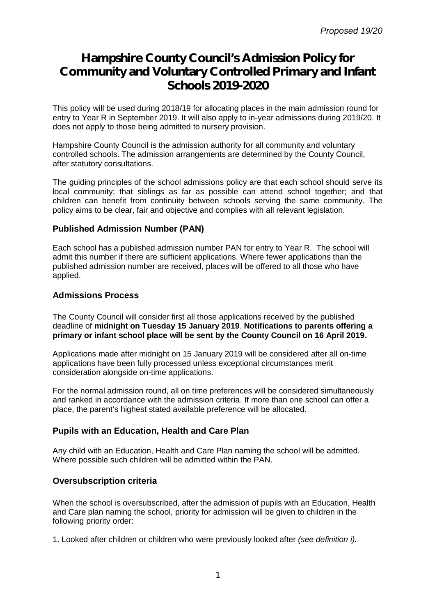# **Hampshire County Council's Admission Policy for Community and Voluntary Controlled Primary and Infant Schools 2019-2020**

This policy will be used during 2018/19 for allocating places in the main admission round for entry to Year R in September 2019. It will also apply to in-year admissions during 2019/20. It does not apply to those being admitted to nursery provision.

Hampshire County Council is the admission authority for all community and voluntary controlled schools. The admission arrangements are determined by the County Council, after statutory consultations.

The guiding principles of the school admissions policy are that each school should serve its local community; that siblings as far as possible can attend school together; and that children can benefit from continuity between schools serving the same community. The policy aims to be clear, fair and objective and complies with all relevant legislation.

# **Published Admission Number (PAN)**

Each school has a published admission number PAN for entry to Year R. The school will admit this number if there are sufficient applications. Where fewer applications than the published admission number are received, places will be offered to all those who have applied.

# **Admissions Process**

The County Council will consider first all those applications received by the published deadline of **midnight on Tuesday 15 January 2019**. **Notifications to parents offering a primary or infant school place will be sent by the County Council on 16 April 2019.**

Applications made after midnight on 15 January 2019 will be considered after all on-time applications have been fully processed unless exceptional circumstances merit consideration alongside on-time applications.

For the normal admission round, all on time preferences will be considered simultaneously and ranked in accordance with the admission criteria. If more than one school can offer a place, the parent's highest stated available preference will be allocated.

# **Pupils with an Education, Health and Care Plan**

Any child with an Education, Health and Care Plan naming the school will be admitted. Where possible such children will be admitted within the PAN.

# **Oversubscription criteria**

When the school is oversubscribed, after the admission of pupils with an Education, Health and Care plan naming the school, priority for admission will be given to children in the following priority order:

1. Looked after children or children who were previously looked after *(see definition i).*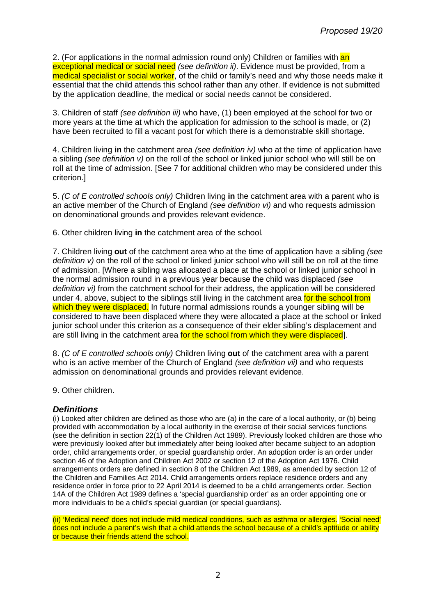2. (For applications in the normal admission round only) Children or families with an exceptional medical or social need *(see definition ii)*. Evidence must be provided, from a medical specialist or social worker, of the child or family's need and why those needs make it essential that the child attends this school rather than any other. If evidence is not submitted by the application deadline, the medical or social needs cannot be considered.

3. Children of staff *(see definition iii)* who have, (1) been employed at the school for two or more years at the time at which the application for admission to the school is made, or (2) have been recruited to fill a vacant post for which there is a demonstrable skill shortage.

4. Children living **in** the catchment area *(see definition iv)* who at the time of application have a sibling *(see definition v)* on the roll of the school or linked junior school who will still be on roll at the time of admission. [See 7 for additional children who may be considered under this criterion.]

5. *(C of E controlled schools only)* Children living **in** the catchment area with a parent who is an active member of the Church of England *(see definition vi)* and who requests admission on denominational grounds and provides relevant evidence.

6. Other children living **in** the catchment area of the school*.*

7. Children living **out** of the catchment area who at the time of application have a sibling *(see definition v*) on the roll of the school or linked junior school who will still be on roll at the time of admission. [Where a sibling was allocated a place at the school or linked junior school in the normal admission round in a previous year because the child was displaced *(see definition vi)* from the catchment school for their address, the application will be considered under 4, above, subject to the siblings still living in the catchment area for the school from which they were displaced. In future normal admissions rounds a younger sibling will be considered to have been displaced where they were allocated a place at the school or linked junior school under this criterion as a consequence of their elder sibling's displacement and are still living in the catchment area for the school from which they were displaced.

8. *(C of E controlled schools only)* Children living **out** of the catchment area with a parent who is an active member of the Church of England *(see definition vii)* and who requests admission on denominational grounds and provides relevant evidence.

9. Other children.

# *Definitions*

(i) Looked after children are defined as those who are (a) in the care of a local authority, or (b) being provided with accommodation by a local authority in the exercise of their social services functions (see the definition in section 22(1) of the Children Act 1989). Previously looked children are those who were previously looked after but immediately after being looked after became subject to an adoption order, child arrangements order, or special guardianship order. An adoption order is an order under section 46 of the Adoption and Children Act 2002 or section 12 of the Adoption Act 1976. Child arrangements orders are defined in section 8 of the Children Act 1989, as amended by section 12 of the Children and Families Act 2014. Child arrangements orders replace residence orders and any residence order in force prior to 22 April 2014 is deemed to be a child arrangements order. Section 14A of the Children Act 1989 defines a 'special guardianship order' as an order appointing one or more individuals to be a child's special guardian (or special guardians).

(ii) 'Medical need' does not include mild medical conditions, such as asthma or allergies. 'Social need' does not include a parent's wish that a child attends the school because of a child's aptitude or ability or because their friends attend the school.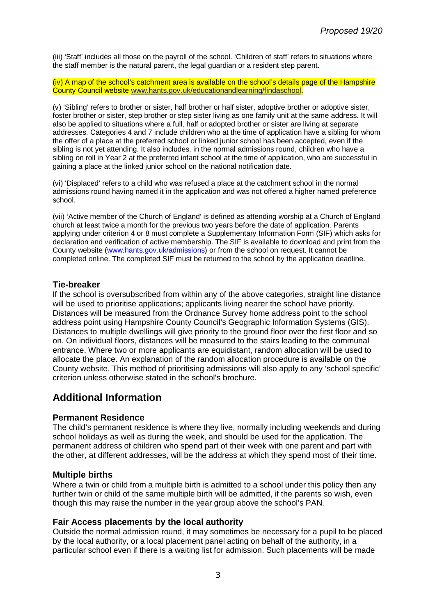(iii) 'Staff' includes all those on the payroll of the school. 'Children of staff' refers to situations where the staff member is the natural parent, the legal guardian or a resident step parent.

(iv) A map of the school's catchment area is available on the school's details page of the Hampshire County Council website [www.hants.gov.uk/educationandlearning/findaschool.](http://www.hants.gov.uk/educationandlearning/findaschool.)

(v) 'Sibling' refers to brother or sister, half brother or half sister, adoptive brother or adoptive sister, foster brother or sister, step brother or step sister living as one family unit at the same address. It will also be applied to situations where a full, half or adopted brother or sister are living at separate addresses. Categories 4 and 7 include children who at the time of application have a sibling for whom the offer of a place at the preferred school or linked junior school has been accepted, even if the sibling is not yet attending. It also includes, in the normal admissions round, children who have a sibling on roll in Year 2 at the preferred infant school at the time of application, who are successful in gaining a place at the linked junior school on the national notification date.

(vi) 'Displaced' refers to a child who was refused a place at the catchment school in the normal admissions round having named it in the application and was not offered a higher named preference school.

(vii) 'Active member of the Church of England' is defined as attending worship at a Church of England church at least twice a month for the previous two years before the date of application. Parents applying under criterion 4 or 8 must complete a Supplementary Information Form (SIF) which asks for declaration and verification of active membership. The SIF is available to download and print from the County website ([www.hants.gov.uk/admissions\)](http://www.hants.gov.uk/admissions)) or from the school on request. It cannot be completed online. The completed SIF must be returned to the school by the application deadline.

#### **Tie-breaker**

If the school is oversubscribed from within any of the above categories, straight line distance will be used to prioritise applications; applicants living nearer the school have priority. Distances will be measured from the Ordnance Survey home address point to the school address point using Hampshire County Council's Geographic Information Systems (GIS). Distances to multiple dwellings will give priority to the ground floor over the first floor and so on. On individual floors, distances will be measured to the stairs leading to the communal entrance. Where two or more applicants are equidistant, random allocation will be used to allocate the place. An explanation of the random allocation procedure is available on the County website. This method of prioritising admissions will also apply to any 'school specific' criterion unless otherwise stated in the school's brochure.

# **Additional Information**

# **Permanent Residence**

The child's permanent residence is where they live, normally including weekends and during school holidays as well as during the week, and should be used for the application. The permanent address of children who spend part of their week with one parent and part with the other, at different addresses, will be the address at which they spend most of their time.

#### **Multiple births**

Where a twin or child from a multiple birth is admitted to a school under this policy then any further twin or child of the same multiple birth will be admitted, if the parents so wish, even though this may raise the number in the year group above the school's PAN.

# **Fair Access placements by the local authority**

Outside the normal admission round, it may sometimes be necessary for a pupil to be placed by the local authority, or a local placement panel acting on behalf of the authority, in a particular school even if there is a waiting list for admission. Such placements will be made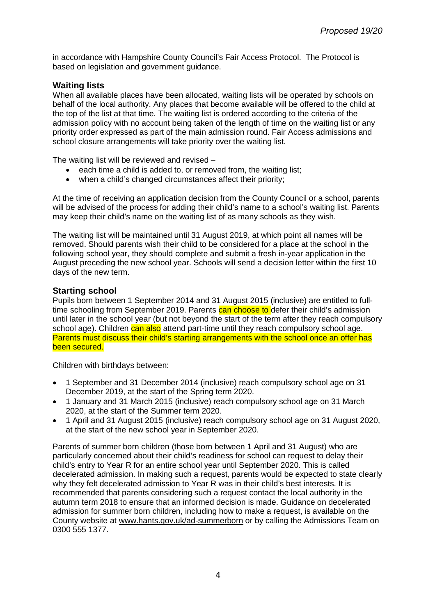in accordance with Hampshire County Council's Fair Access Protocol. The Protocol is based on legislation and government guidance.

# **Waiting lists**

When all available places have been allocated, waiting lists will be operated by schools on behalf of the local authority. Any places that become available will be offered to the child at the top of the list at that time. The waiting list is ordered according to the criteria of the admission policy with no account being taken of the length of time on the waiting list or any priority order expressed as part of the main admission round. Fair Access admissions and school closure arrangements will take priority over the waiting list.

The waiting list will be reviewed and revised –

- each time a child is added to, or removed from, the waiting list;
- when a child's changed circumstances affect their priority;

At the time of receiving an application decision from the County Council or a school, parents will be advised of the process for adding their child's name to a school's waiting list. Parents may keep their child's name on the waiting list of as many schools as they wish.

The waiting list will be maintained until 31 August 2019, at which point all names will be removed. Should parents wish their child to be considered for a place at the school in the following school year, they should complete and submit a fresh in-year application in the August preceding the new school year. Schools will send a decision letter within the first 10 days of the new term.

# **Starting school**

Pupils born between 1 September 2014 and 31 August 2015 (inclusive) are entitled to fulltime schooling from September 2019. Parents can choose to defer their child's admission until later in the school year (but not beyond the start of the term after they reach compulsory school age). Children can also attend part-time until they reach compulsory school age. Parents must discuss their child's starting arrangements with the school once an offer has been secured.

Children with birthdays between:

- 1 September and 31 December 2014 (inclusive) reach compulsory school age on 31 December 2019, at the start of the Spring term 2020.
- 1 January and 31 March 2015 (inclusive) reach compulsory school age on 31 March 2020, at the start of the Summer term 2020.
- 1 April and 31 August 2015 (inclusive) reach compulsory school age on 31 August 2020, at the start of the new school year in September 2020.

Parents of summer born children (those born between 1 April and 31 August) who are particularly concerned about their child's readiness for school can request to delay their child's entry to Year R for an entire school year until September 2020. This is called decelerated admission. In making such a request, parents would be expected to state clearly why they felt decelerated admission to Year R was in their child's best interests. It is recommended that parents considering such a request contact the local authority in the autumn term 2018 to ensure that an informed decision is made. Guidance on decelerated admission for summer born children, including how to make a request, is available on the County website at [www.hants.gov.uk/ad-summerborn](http://www.hants.gov.uk/ad-summerborn) or by calling the Admissions Team on 0300 555 1377.